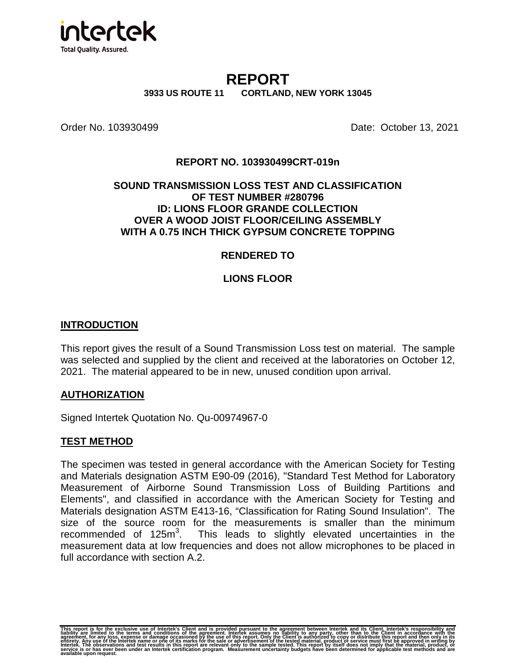

# **REPORT**

**3933 US ROUTE 11 CORTLAND, NEW YORK 13045** 

**Order No. 103930499 Date: October 13, 2021** 

## **REPORT NO. 103930499CRT-019n**

### **SOUND TRANSMISSION LOSS TEST AND CLASSIFICATION OF TEST NUMBER #280796 ID: LIONS FLOOR GRANDE COLLECTION OVER A WOOD JOIST FLOOR/CEILING ASSEMBLY WITH A 0.75 INCH THICK GYPSUM CONCRETE TOPPING**

### **RENDERED TO**

### **LIONS FLOOR**

### **INTRODUCTION**

This report gives the result of a Sound Transmission Loss test on material. The sample was selected and supplied by the client and received at the laboratories on October 12, 2021. The material appeared to be in new, unused condition upon arrival.

#### **AUTHORIZATION**

Signed Intertek Quotation No. Qu-00974967-0

### **TEST METHOD**

The specimen was tested in general accordance with the American Society for Testing and Materials designation ASTM E90-09 (2016), "Standard Test Method for Laboratory Measurement of Airborne Sound Transmission Loss of Building Partitions and Elements", and classified in accordance with the American Society for Testing and Materials designation ASTM E413-16, "Classification for Rating Sound Insulation". The size of the source room for the measurements is smaller than the minimum recommended of 125m<sup>3</sup>. . This leads to slightly elevated uncertainties in the measurement data at low frequencies and does not allow microphones to be placed in full accordance with section A.2.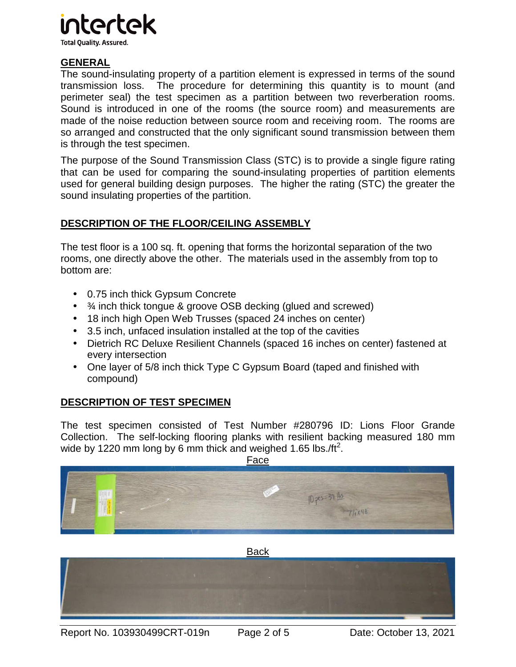

**Total Quality. Assured.** 

# **GENERAL**

The sound-insulating property of a partition element is expressed in terms of the sound transmission loss. The procedure for determining this quantity is to mount (and perimeter seal) the test specimen as a partition between two reverberation rooms. Sound is introduced in one of the rooms (the source room) and measurements are made of the noise reduction between source room and receiving room. The rooms are so arranged and constructed that the only significant sound transmission between them is through the test specimen.

The purpose of the Sound Transmission Class (STC) is to provide a single figure rating that can be used for comparing the sound-insulating properties of partition elements used for general building design purposes. The higher the rating (STC) the greater the sound insulating properties of the partition.

# **DESCRIPTION OF THE FLOOR/CEILING ASSEMBLY**

The test floor is a 100 sq. ft. opening that forms the horizontal separation of the two rooms, one directly above the other. The materials used in the assembly from top to bottom are:

- 0.75 inch thick Gypsum Concrete
- ¾ inch thick tongue & groove OSB decking (glued and screwed)
- 18 inch high Open Web Trusses (spaced 24 inches on center)
- 3.5 inch, unfaced insulation installed at the top of the cavities
- Dietrich RC Deluxe Resilient Channels (spaced 16 inches on center) fastened at every intersection
- One layer of 5/8 inch thick Type C Gypsum Board (taped and finished with compound)

# **DESCRIPTION OF TEST SPECIMEN**

The test specimen consisted of Test Number #280796 ID: Lions Floor Grande Collection. The self-locking flooring planks with resilient backing measured 180 mm wide by 1220 mm long by 6 mm thick and weighed 1.65 lbs./ft<sup>2</sup>.



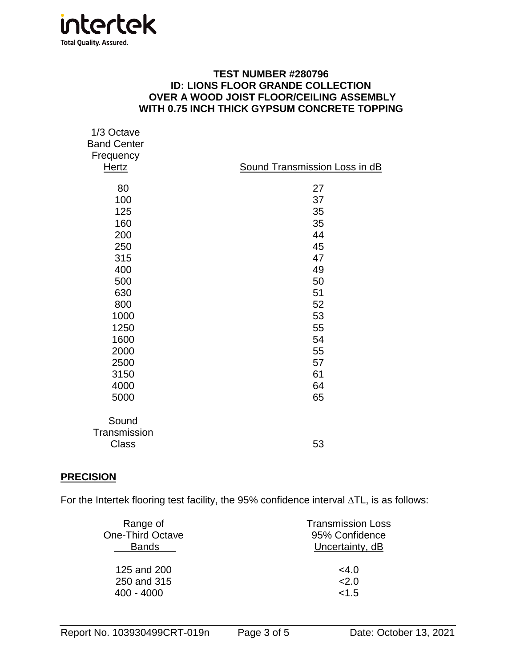

### **TEST NUMBER #280796 ID: LIONS FLOOR GRANDE COLLECTION OVER A WOOD JOIST FLOOR/CEILING ASSEMBLY WITH 0.75 INCH THICK GYPSUM CONCRETE TOPPING**

| 1/3 Octave<br><b>Band Center</b><br>Frequency<br><b>Hertz</b> | Sound Transmission Loss in dB |
|---------------------------------------------------------------|-------------------------------|
| 80                                                            | 27                            |
| 100                                                           | 37                            |
| 125                                                           | 35                            |
| 160                                                           | 35                            |
| 200                                                           | 44                            |
| 250                                                           | 45                            |
| 315                                                           | 47                            |
| 400                                                           | 49                            |
| 500                                                           | 50                            |
| 630                                                           | 51                            |
| 800                                                           | 52                            |
| 1000                                                          | 53                            |
| 1250                                                          | 55                            |
| 1600                                                          | 54                            |
| 2000                                                          | 55                            |
| 2500                                                          | 57                            |
| 3150                                                          | 61                            |
| 4000                                                          | 64                            |
| 5000                                                          | 65                            |
| Sound<br>Transmission<br><b>Class</b>                         | 53                            |
|                                                               |                               |

### **PRECISION**

For the Intertek flooring test facility, the 95% confidence interval ∆TL, is as follows:

| Range of                | <b>Transmission Loss</b> |
|-------------------------|--------------------------|
| <b>One-Third Octave</b> | 95% Confidence           |
| <b>Bands</b>            | Uncertainty, dB          |
| 125 and 200             | $<$ 4.0                  |
| 250 and 315             | 2.0                      |
| $400 - 4000$            | < 1.5                    |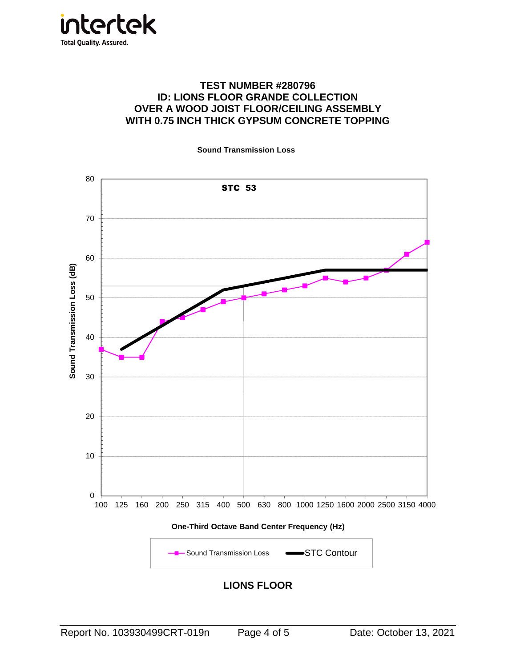

### **TEST NUMBER #280796 ID: LIONS FLOOR GRANDE COLLECTION OVER A WOOD JOIST FLOOR/CEILING ASSEMBLY WITH 0.75 INCH THICK GYPSUM CONCRETE TOPPING**

**Sound Transmission Loss**



**LIONS FLOOR**